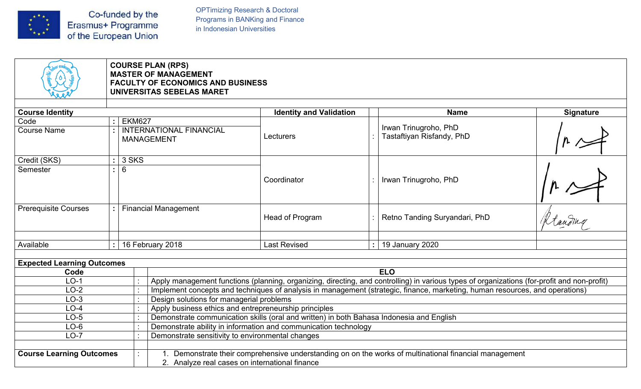

OPTimizing Research & Doctoral<br>Programs in BANKing and Finance<br>in Indonesian Universities OPTimizing Research & Doctoral<br>Programs in BANKing and Finance<br>in Indonesian Universities

| Co-funded by the<br>$\begin{bmatrix} \star^{\star} \\ \star \\ \star \\ \star \star \end{bmatrix}$<br>Erasmus+ Programme<br>of the European Union |                                                                                                                                  | <b>OPTimizing Research &amp; Doctoral</b><br>Programs in BANKing and Finance<br>in Indonesian Universities          |                                                                                                                                             |                  |  |  |  |  |  |  |
|---------------------------------------------------------------------------------------------------------------------------------------------------|----------------------------------------------------------------------------------------------------------------------------------|---------------------------------------------------------------------------------------------------------------------|---------------------------------------------------------------------------------------------------------------------------------------------|------------------|--|--|--|--|--|--|
|                                                                                                                                                   | <b>COURSE PLAN (RPS)</b><br><b>MASTER OF MANAGEMENT</b><br><b>FACULTY OF ECONOMICS AND BUSINESS</b><br>UNIVERSITAS SEBELAS MARET |                                                                                                                     |                                                                                                                                             |                  |  |  |  |  |  |  |
| <b>Course Identity</b>                                                                                                                            |                                                                                                                                  | <b>Identity and Validation</b>                                                                                      | <b>Name</b>                                                                                                                                 | <b>Signature</b> |  |  |  |  |  |  |
| Code                                                                                                                                              | <b>EKM627</b><br>÷                                                                                                               |                                                                                                                     |                                                                                                                                             |                  |  |  |  |  |  |  |
| <b>Course Name</b>                                                                                                                                | <b>INTERNATIONAL FINANCIAL</b><br><b>MANAGEMENT</b>                                                                              | Lecturers                                                                                                           | Irwan Trinugroho, PhD<br>Tastaftiyan Risfandy, PhD                                                                                          |                  |  |  |  |  |  |  |
| Credit (SKS)<br>Semester                                                                                                                          | 3 SKS<br>$\mathbf{L}$<br>6<br>÷                                                                                                  | Coordinator                                                                                                         | Irwan Trinugroho, PhD                                                                                                                       |                  |  |  |  |  |  |  |
| <b>Prerequisite Courses</b>                                                                                                                       | <b>Financial Management</b>                                                                                                      | Head of Program                                                                                                     | Retno Tanding Suryandari, PhD                                                                                                               | Rtaudme          |  |  |  |  |  |  |
| Available                                                                                                                                         | 16 February 2018<br>$\cdot$ 1                                                                                                    | <b>Last Revised</b>                                                                                                 | $:  $ 19 January 2020                                                                                                                       |                  |  |  |  |  |  |  |
|                                                                                                                                                   |                                                                                                                                  |                                                                                                                     |                                                                                                                                             |                  |  |  |  |  |  |  |
| <b>Expected Learning Outcomes</b>                                                                                                                 |                                                                                                                                  |                                                                                                                     |                                                                                                                                             |                  |  |  |  |  |  |  |
| Code                                                                                                                                              |                                                                                                                                  |                                                                                                                     | <b>ELO</b>                                                                                                                                  |                  |  |  |  |  |  |  |
| $LO-1$                                                                                                                                            |                                                                                                                                  |                                                                                                                     | Apply management functions (planning, organizing, directing, and controlling) in various types of organizations (for-profit and non-profit) |                  |  |  |  |  |  |  |
|                                                                                                                                                   | Design solutions for managerial problems                                                                                         |                                                                                                                     | Implement concepts and techniques of analysis in management (strategic, finance, marketing, human resources, and operations)                |                  |  |  |  |  |  |  |
| $LO-2$                                                                                                                                            |                                                                                                                                  | Apply business ethics and entrepreneurship principles                                                               |                                                                                                                                             |                  |  |  |  |  |  |  |
| $LO-3$                                                                                                                                            |                                                                                                                                  |                                                                                                                     |                                                                                                                                             |                  |  |  |  |  |  |  |
| $LO-4$                                                                                                                                            |                                                                                                                                  |                                                                                                                     | Demonstrate communication skills (oral and written) in both Bahasa Indonesia and English                                                    |                  |  |  |  |  |  |  |
| $LO-5$                                                                                                                                            |                                                                                                                                  |                                                                                                                     |                                                                                                                                             |                  |  |  |  |  |  |  |
| $LO-6$<br>$LO-7$                                                                                                                                  |                                                                                                                                  | Demonstrate ability in information and communication technology<br>Demonstrate sensitivity to environmental changes |                                                                                                                                             |                  |  |  |  |  |  |  |
| <b>Course Learning Outcomes</b>                                                                                                                   |                                                                                                                                  |                                                                                                                     | Demonstrate their comprehensive understanding on on the works of multinational financial management                                         |                  |  |  |  |  |  |  |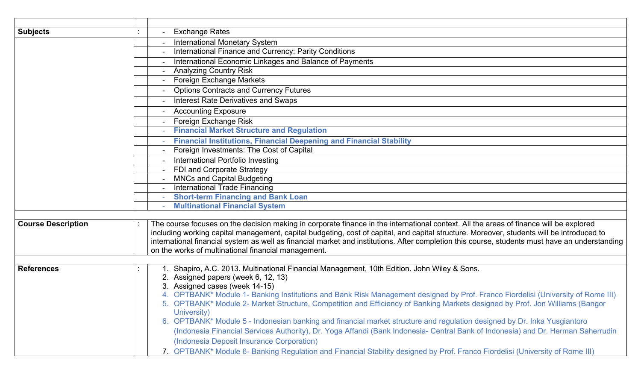| Foreign Investments: The Cost of Capital<br>International Portfolio Investing<br>FDI and Corporate Strategy<br><b>MNCs and Capital Budgeting</b><br><b>International Trade Financing</b><br><b>Short-term Financing and Bank Loan</b><br><b>Multinational Financial System</b><br>The course focuses on the decision making in corporate finance in the international context. All the areas of finance will be explored<br><b>Course Description</b><br>including working capital management, capital budgeting, cost of capital, and capital structure. Moreover, students will be introduced to<br>international financial system as well as financial market and institutions. After completion this course, students must have an understanding<br>on the works of multinational financial management.<br>Shapiro, A.C. 2013. Multinational Financial Management, 10th Edition. John Wiley & Sons.<br><b>References</b><br>2. Assigned papers (week 6, 12, 13)<br>3. Assigned cases (week 14-15) |
|-------------------------------------------------------------------------------------------------------------------------------------------------------------------------------------------------------------------------------------------------------------------------------------------------------------------------------------------------------------------------------------------------------------------------------------------------------------------------------------------------------------------------------------------------------------------------------------------------------------------------------------------------------------------------------------------------------------------------------------------------------------------------------------------------------------------------------------------------------------------------------------------------------------------------------------------------------------------------------------------------------|
|                                                                                                                                                                                                                                                                                                                                                                                                                                                                                                                                                                                                                                                                                                                                                                                                                                                                                                                                                                                                       |
|                                                                                                                                                                                                                                                                                                                                                                                                                                                                                                                                                                                                                                                                                                                                                                                                                                                                                                                                                                                                       |
|                                                                                                                                                                                                                                                                                                                                                                                                                                                                                                                                                                                                                                                                                                                                                                                                                                                                                                                                                                                                       |
|                                                                                                                                                                                                                                                                                                                                                                                                                                                                                                                                                                                                                                                                                                                                                                                                                                                                                                                                                                                                       |
|                                                                                                                                                                                                                                                                                                                                                                                                                                                                                                                                                                                                                                                                                                                                                                                                                                                                                                                                                                                                       |
|                                                                                                                                                                                                                                                                                                                                                                                                                                                                                                                                                                                                                                                                                                                                                                                                                                                                                                                                                                                                       |
|                                                                                                                                                                                                                                                                                                                                                                                                                                                                                                                                                                                                                                                                                                                                                                                                                                                                                                                                                                                                       |
| <b>Financial Institutions, Financial Deepening and Financial Stability</b>                                                                                                                                                                                                                                                                                                                                                                                                                                                                                                                                                                                                                                                                                                                                                                                                                                                                                                                            |
| <b>Financial Market Structure and Regulation</b>                                                                                                                                                                                                                                                                                                                                                                                                                                                                                                                                                                                                                                                                                                                                                                                                                                                                                                                                                      |
| Foreign Exchange Risk                                                                                                                                                                                                                                                                                                                                                                                                                                                                                                                                                                                                                                                                                                                                                                                                                                                                                                                                                                                 |
| <b>Accounting Exposure</b>                                                                                                                                                                                                                                                                                                                                                                                                                                                                                                                                                                                                                                                                                                                                                                                                                                                                                                                                                                            |
| <b>Interest Rate Derivatives and Swaps</b>                                                                                                                                                                                                                                                                                                                                                                                                                                                                                                                                                                                                                                                                                                                                                                                                                                                                                                                                                            |
| <b>Options Contracts and Currency Futures</b>                                                                                                                                                                                                                                                                                                                                                                                                                                                                                                                                                                                                                                                                                                                                                                                                                                                                                                                                                         |
| Foreign Exchange Markets                                                                                                                                                                                                                                                                                                                                                                                                                                                                                                                                                                                                                                                                                                                                                                                                                                                                                                                                                                              |
| <b>Analyzing Country Risk</b>                                                                                                                                                                                                                                                                                                                                                                                                                                                                                                                                                                                                                                                                                                                                                                                                                                                                                                                                                                         |
| International Finance and Currency: Parity Conditions<br>International Economic Linkages and Balance of Payments                                                                                                                                                                                                                                                                                                                                                                                                                                                                                                                                                                                                                                                                                                                                                                                                                                                                                      |
| <b>International Monetary System</b>                                                                                                                                                                                                                                                                                                                                                                                                                                                                                                                                                                                                                                                                                                                                                                                                                                                                                                                                                                  |
| <b>Exchange Rates</b><br><b>Subjects</b>                                                                                                                                                                                                                                                                                                                                                                                                                                                                                                                                                                                                                                                                                                                                                                                                                                                                                                                                                              |
|                                                                                                                                                                                                                                                                                                                                                                                                                                                                                                                                                                                                                                                                                                                                                                                                                                                                                                                                                                                                       |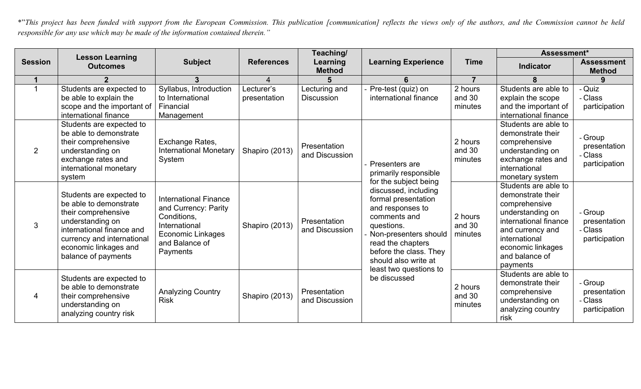<p>\n<math display="inline">\star</math> This project has been funded with support from the European Commission. This publication [communication] reflects the views only of the authors, and the Commission cannot be held responsible for any use which may be made of the information contained therein.\n</p>\n<p>\n<b>Section</b>\n</p>\n<p>\n<b>Lessson Learning</b>\n</p>\n<p>\n<b>Session</b>\n</p>\n<p>\n<b>Session</b>\n</p>\n<p>\n<b>Session Learning</b>\n</p>\n<p>\n<b>Session</b>\n</p>\n

|                |                                                                                                                                                                                                          |                                                                                                                                                |                            | Teaching/                          |                                                                                                                                                                                                                                                  |                              | Assessment*                                                                                                                                                                                     |                                                     |
|----------------|----------------------------------------------------------------------------------------------------------------------------------------------------------------------------------------------------------|------------------------------------------------------------------------------------------------------------------------------------------------|----------------------------|------------------------------------|--------------------------------------------------------------------------------------------------------------------------------------------------------------------------------------------------------------------------------------------------|------------------------------|-------------------------------------------------------------------------------------------------------------------------------------------------------------------------------------------------|-----------------------------------------------------|
| <b>Session</b> | <b>Lesson Learning</b><br><b>Outcomes</b>                                                                                                                                                                | <b>Subject</b>                                                                                                                                 | <b>References</b>          | Learning<br><b>Method</b>          | <b>Learning Experience</b>                                                                                                                                                                                                                       | <b>Time</b>                  | Indicator                                                                                                                                                                                       | <b>Assessment</b><br><b>Method</b>                  |
| $\mathbf 1$    | $\mathfrak{p}$                                                                                                                                                                                           | 3 <sup>1</sup>                                                                                                                                 | 4                          | 5                                  | 6                                                                                                                                                                                                                                                | $\overline{7}$               |                                                                                                                                                                                                 |                                                     |
| $\overline{1}$ | Students are expected to<br>be able to explain the<br>scope and the important of<br>international finance                                                                                                | Syllabus, Introduction<br>to International<br>Financial<br>Management                                                                          | Lecturer's<br>presentation | Lecturing and<br><b>Discussion</b> | - Pre-test (quiz) on<br>international finance                                                                                                                                                                                                    | 2 hours<br>and 30<br>minutes | Students are able to<br>explain the scope<br>and the important of<br>international finance                                                                                                      | - Quiz<br>- Class<br>participation                  |
| 2              | Students are expected to<br>be able to demonstrate<br>their comprehensive<br>understanding on<br>exchange rates and<br>international monetary<br>system                                                  | Exchange Rates,<br>International Monetary<br>System                                                                                            | Shapiro (2013)             | Presentation<br>and Discussion     | - Presenters are<br>primarily responsible                                                                                                                                                                                                        | 2 hours<br>and 30<br>minutes | Students are able to<br>demonstrate their<br>comprehensive<br>understanding on<br>exchange rates and<br>international<br>monetary system                                                        | - Group<br>presentation<br>- Class<br>participation |
| $\mathbf{3}$   | Students are expected to<br>be able to demonstrate<br>their comprehensive<br>understanding on<br>international finance and<br>currency and international<br>economic linkages and<br>balance of payments | <b>International Finance</b><br>and Currency: Parity<br>Conditions,<br>International<br><b>Economic Linkages</b><br>and Balance of<br>Payments | Shapiro (2013)             | Presentation<br>and Discussion     | for the subject being<br>discussed, including<br>formal presentation<br>and responses to<br>comments and<br>questions.<br>Non-presenters should<br>read the chapters<br>before the class. They<br>should also write at<br>least two questions to | 2 hours<br>and 30<br>minutes | Students are able to<br>demonstrate their<br>comprehensive<br>understanding on<br>international finance<br>and currency and<br>international<br>economic linkages<br>and balance of<br>payments | - Group<br>presentation<br>- Class<br>participation |
| 4              | Students are expected to<br>be able to demonstrate<br>their comprehensive<br>understanding on<br>analyzing country risk                                                                                  | <b>Analyzing Country</b><br><b>Risk</b>                                                                                                        | Shapiro (2013)             | Presentation<br>and Discussion     | be discussed                                                                                                                                                                                                                                     | 2 hours<br>and 30<br>minutes | Students are able to<br>demonstrate their<br>comprehensive<br>understanding on<br>analyzing country<br>risk                                                                                     | - Group<br>presentation<br>- Class<br>participation |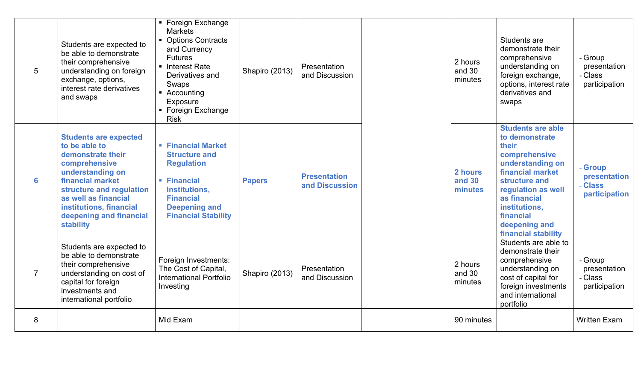| 5              | Students are expected to<br>be able to demonstrate<br>their comprehensive<br>understanding on foreign<br>exchange, options,<br>interest rate derivatives<br>and swaps                                                                              | ■ Foreign Exchange<br>Markets<br>• Options Contracts<br>and Currency<br><b>Futures</b><br>■ Interest Rate<br>Derivatives and<br>Swaps<br>$\blacksquare$ Accounting<br>Exposure<br>■ Foreign Exchange<br><b>Risk</b> | Shapiro (2013) | Presentation<br>and Discussion        | 2 hours<br>and 30<br>minutes | Students are<br>demonstrate their<br>comprehensive<br>understanding on<br>foreign exchange,<br>options, interest rate<br>derivatives and<br>swaps                                                                                         | - Group<br>presentation<br>- Class<br>participation |
|----------------|----------------------------------------------------------------------------------------------------------------------------------------------------------------------------------------------------------------------------------------------------|---------------------------------------------------------------------------------------------------------------------------------------------------------------------------------------------------------------------|----------------|---------------------------------------|------------------------------|-------------------------------------------------------------------------------------------------------------------------------------------------------------------------------------------------------------------------------------------|-----------------------------------------------------|
| 6              | <b>Students are expected</b><br>to be able to<br>demonstrate their<br>comprehensive<br>understanding on<br>financial market<br>structure and regulation<br>as well as financial<br>institutions, financial<br>deepening and financial<br>stability | <b>Financial Market</b><br><b>Structure and</b><br><b>Regulation</b><br>• Financial<br>Institutions,<br><b>Financial</b><br><b>Deepening and</b><br><b>Financial Stability</b>                                      | <b>Papers</b>  | <b>Presentation</b><br>and Discussion | 2 hours<br>and 30<br>minutes | <b>Students are able</b><br>to demonstrate<br>their<br>comprehensive<br>understanding on<br>financial market<br>structure and<br>regulation as well<br>as financial<br>institutions,<br>financial<br>deepening and<br>financial stability | - Group<br>presentation<br>- Class<br>participation |
| $\overline{7}$ | Students are expected to<br>be able to demonstrate<br>their comprehensive<br>understanding on cost of<br>capital for foreign<br>investments and<br>international portfolio                                                                         | Foreign Investments:<br>The Cost of Capital,<br><b>International Portfolio</b><br>Investing                                                                                                                         | Shapiro (2013) | Presentation<br>and Discussion        | 2 hours<br>and 30<br>minutes | Students are able to<br>demonstrate their<br>comprehensive<br>understanding on<br>cost of capital for<br>foreign investments<br>and international<br>portfolio                                                                            | - Group<br>presentation<br>- Class<br>participation |
| 8              |                                                                                                                                                                                                                                                    | Mid Exam                                                                                                                                                                                                            |                |                                       | 90 minutes                   |                                                                                                                                                                                                                                           | <b>Written Exam</b>                                 |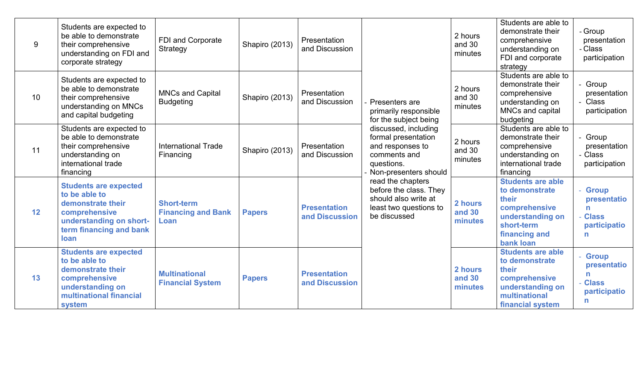|    | Students are expected to                                                                                                                                 |                                                        |                |                                       |                                                                                                                        |                              | Students are able to<br>demonstrate their                                                                                            | - Group                                                                |
|----|----------------------------------------------------------------------------------------------------------------------------------------------------------|--------------------------------------------------------|----------------|---------------------------------------|------------------------------------------------------------------------------------------------------------------------|------------------------------|--------------------------------------------------------------------------------------------------------------------------------------|------------------------------------------------------------------------|
| 9  | be able to demonstrate<br>their comprehensive<br>understanding on FDI and<br>corporate strategy                                                          | FDI and Corporate<br>Strategy                          | Shapiro (2013) | Presentation<br>and Discussion        |                                                                                                                        | 2 hours<br>and 30<br>minutes | comprehensive<br>understanding on<br>FDI and corporate<br>strategy                                                                   | presentation<br>- Class<br>participation                               |
| 10 | Students are expected to<br>be able to demonstrate<br>their comprehensive<br>understanding on MNCs<br>and capital budgeting                              | <b>MNCs and Capital</b><br><b>Budgeting</b>            | Shapiro (2013) | Presentation<br>and Discussion        | Presenters are<br>primarily responsible<br>for the subject being                                                       | 2 hours<br>and 30<br>minutes | Students are able to<br>demonstrate their<br>comprehensive<br>understanding on<br>MNCs and capital<br>budgeting                      | Group<br>presentation<br>- Class<br>participation                      |
| 11 | Students are expected to<br>be able to demonstrate<br>their comprehensive<br>understanding on<br>international trade<br>financing                        | <b>International Trade</b><br>Financing                | Shapiro (2013) | Presentation<br>and Discussion        | discussed, including<br>formal presentation<br>and responses to<br>comments and<br>questions.<br>Non-presenters should | 2 hours<br>and 30<br>minutes | Students are able to<br>demonstrate their<br>comprehensive<br>understanding on<br>international trade<br>financing                   | - Group<br>presentation<br>- Class<br>participation                    |
| 12 | <b>Students are expected</b><br>to be able to<br>demonstrate their<br>comprehensive<br>understanding on short-<br>term financing and bank<br><b>loan</b> | <b>Short-term</b><br><b>Financing and Bank</b><br>Loan | <b>Papers</b>  | <b>Presentation</b><br>and Discussion | read the chapters<br>before the class. They<br>should also write at<br>least two questions to<br>be discussed          | 2 hours<br>and 30<br>minutes | <b>Students are able</b><br>to demonstrate<br>their<br>comprehensive<br>understanding on<br>short-term<br>financing and<br>bank loan | <b>Group</b><br>presentatio<br>n<br><b>Class</b><br>participatio<br>n  |
| 13 | <b>Students are expected</b><br>to be able to<br>demonstrate their<br>comprehensive<br>understanding on<br>multinational financial<br>system             | <b>Multinational</b><br><b>Financial System</b>        | <b>Papers</b>  | <b>Presentation</b><br>and Discussion |                                                                                                                        | 2 hours<br>and 30<br>minutes | <b>Students are able</b><br>to demonstrate<br>their<br>comprehensive<br>understanding on<br>multinational<br>financial system        | <b>Group</b><br>presentatio<br>n<br><b>Class</b><br>participatio<br>n. |